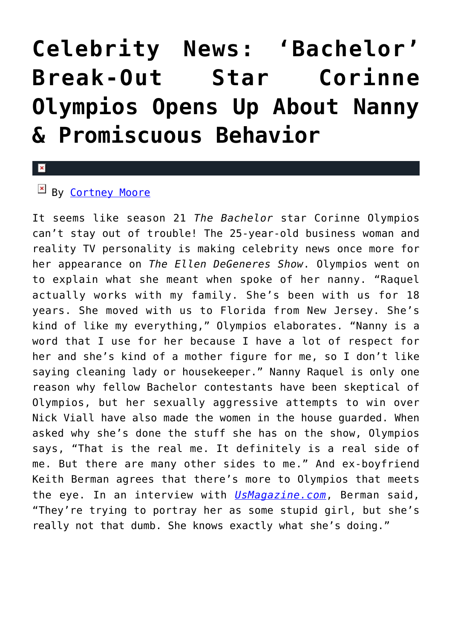# **[Celebrity News: 'Bachelor'](https://cupidspulse.com/116634/celebrity-news-bachelor-corinne-olympios-nanny/) [Break-Out Star Corinne](https://cupidspulse.com/116634/celebrity-news-bachelor-corinne-olympios-nanny/) [Olympios Opens Up About Nanny](https://cupidspulse.com/116634/celebrity-news-bachelor-corinne-olympios-nanny/) [& Promiscuous Behavior](https://cupidspulse.com/116634/celebrity-news-bachelor-corinne-olympios-nanny/)**

#### $\mathbf{\overline{x}}$

## $By$  [Cortney Moore](http://cupidspulse.com/107134/cortney-moore/)

It seems like season 21 *The Bachelor* star Corinne Olympios can't stay out of trouble! The 25-year-old business woman and reality TV personality is making celebrity news once more for her appearance on *The Ellen DeGeneres Show*. Olympios went on to explain what she meant when spoke of her nanny. "Raquel actually works with my family. She's been with us for 18 years. She moved with us to Florida from New Jersey. She's kind of like my everything," Olympios elaborates. "Nanny is a word that I use for her because I have a lot of respect for her and she's kind of a mother figure for me, so I don't like saying cleaning lady or housekeeper." Nanny Raquel is only one reason why fellow Bachelor contestants have been skeptical of Olympios, but her sexually aggressive attempts to win over Nick Viall have also made the women in the house guarded. When asked why she's done the stuff she has on the show, Olympios says, "That is the real me. It definitely is a real side of me. But there are many other sides to me." And ex-boyfriend Keith Berman agrees that there's more to Olympios that meets the eye. In an interview with *[UsMagazine.com](http://www.usmagazine.com/entertainment/news/bachelor-villain-corinne-olympios-ex-tells-all-w463265)*, Berman said, "They're trying to portray her as some stupid girl, but she's really not that dumb. She knows exactly what she's doing."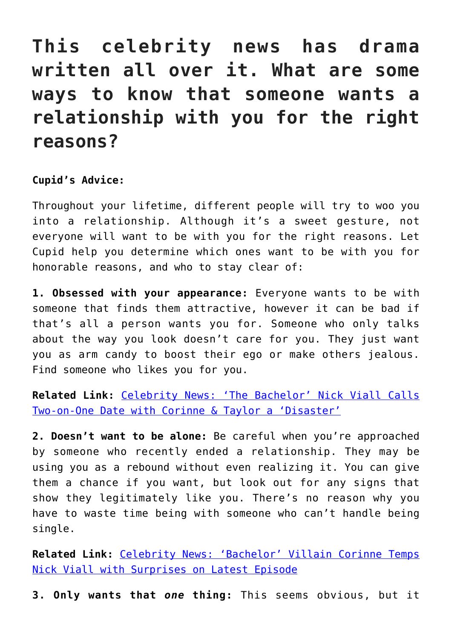# **This celebrity news has drama written all over it. What are some ways to know that someone wants a relationship with you for the right reasons?**

### **Cupid's Advice:**

Throughout your lifetime, different people will try to woo you into a relationship. Although it's a sweet gesture, not everyone will want to be with you for the right reasons. Let Cupid help you determine which ones want to be with you for honorable reasons, and who to stay clear of:

**1. Obsessed with your appearance:** Everyone wants to be with someone that finds them attractive, however it can be bad if that's all a person wants you for. Someone who only talks about the way you look doesn't care for you. They just want you as arm candy to boost their ego or make others jealous. Find someone who likes you for you.

**Related Link:** [Celebrity News: 'The Bachelor' Nick Viall Calls](http://cupidspulse.com/116556/celebrity-news-the-bachelor-nick-viall-disaster-date-corinne/) [Two-on-One Date with Corinne & Taylor a 'Disaster'](http://cupidspulse.com/116556/celebrity-news-the-bachelor-nick-viall-disaster-date-corinne/)

**2. Doesn't want to be alone:** Be careful when you're approached by someone who recently ended a relationship. They may be using you as a rebound without even realizing it. You can give them a chance if you want, but look out for any signs that show they legitimately like you. There's no reason why you have to waste time being with someone who can't handle being single.

**Related Link:** [Celebrity News: 'Bachelor' Villain Corinne Temps](http://cupidspulse.com/116324/celebrity-news-bachelor-villain-corinne-temps-nick-viall-latest-episode/) [Nick Viall with Surprises on Latest Episode](http://cupidspulse.com/116324/celebrity-news-bachelor-villain-corinne-temps-nick-viall-latest-episode/)

**3. Only wants that** *one* **thing:** This seems obvious, but it